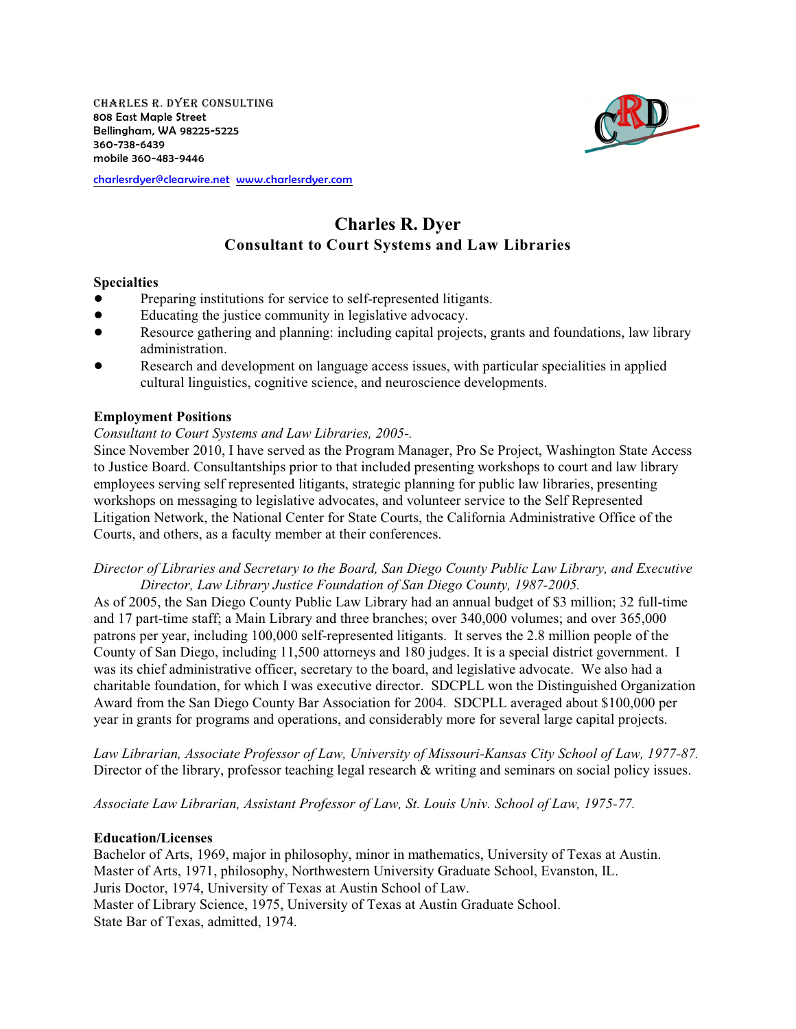Charles R. Dyer Consulting 808 East Maple Street Bellingham, WA 98225-5225 360-738-6439 mobile 360-483-9446



#### [charlesrdyer@clearwire.net](mailto:charlesrdyer@clearwire.net) [www.charlesrdyer.com](http://www.charlesrdyer.com)

# **Charles R. Dyer Consultant to Court Systems and Law Libraries**

## **Specialties**

- Preparing institutions for service to self-represented litigants.
- ! Educating the justice community in legislative advocacy.
- ! Resource gathering and planning: including capital projects, grants and foundations, law library administration.
- Research and development on language access issues, with particular specialities in applied cultural linguistics, cognitive science, and neuroscience developments.

## **Employment Positions**

## *Consultant to Court Systems and Law Libraries, 2005-.*

Since November 2010, I have served as the Program Manager, Pro Se Project, Washington State Access to Justice Board. Consultantships prior to that included presenting workshops to court and law library employees serving self represented litigants, strategic planning for public law libraries, presenting workshops on messaging to legislative advocates, and volunteer service to the Self Represented Litigation Network, the National Center for State Courts, the California Administrative Office of the Courts, and others, as a faculty member at their conferences.

## *Director of Libraries and Secretary to the Board, San Diego County Public Law Library, and Executive Director, Law Library Justice Foundation of San Diego County, 1987-2005.*

As of 2005, the San Diego County Public Law Library had an annual budget of \$3 million; 32 full-time and 17 part-time staff; a Main Library and three branches; over 340,000 volumes; and over 365,000 patrons per year, including 100,000 self-represented litigants. It serves the 2.8 million people of the County of San Diego, including 11,500 attorneys and 180 judges. It is a special district government. I was its chief administrative officer, secretary to the board, and legislative advocate. We also had a charitable foundation, for which I was executive director. SDCPLL won the Distinguished Organization Award from the San Diego County Bar Association for 2004. SDCPLL averaged about \$100,000 per year in grants for programs and operations, and considerably more for several large capital projects.

*Law Librarian, Associate Professor of Law, University of Missouri-Kansas City School of Law, 1977-87.* Director of the library, professor teaching legal research & writing and seminars on social policy issues.

*Associate Law Librarian, Assistant Professor of Law, St. Louis Univ. School of Law, 1975-77.*

## **Education/Licenses**

Bachelor of Arts, 1969, major in philosophy, minor in mathematics, University of Texas at Austin. Master of Arts, 1971, philosophy, Northwestern University Graduate School, Evanston, IL. Juris Doctor, 1974, University of Texas at Austin School of Law. Master of Library Science, 1975, University of Texas at Austin Graduate School. State Bar of Texas, admitted, 1974.